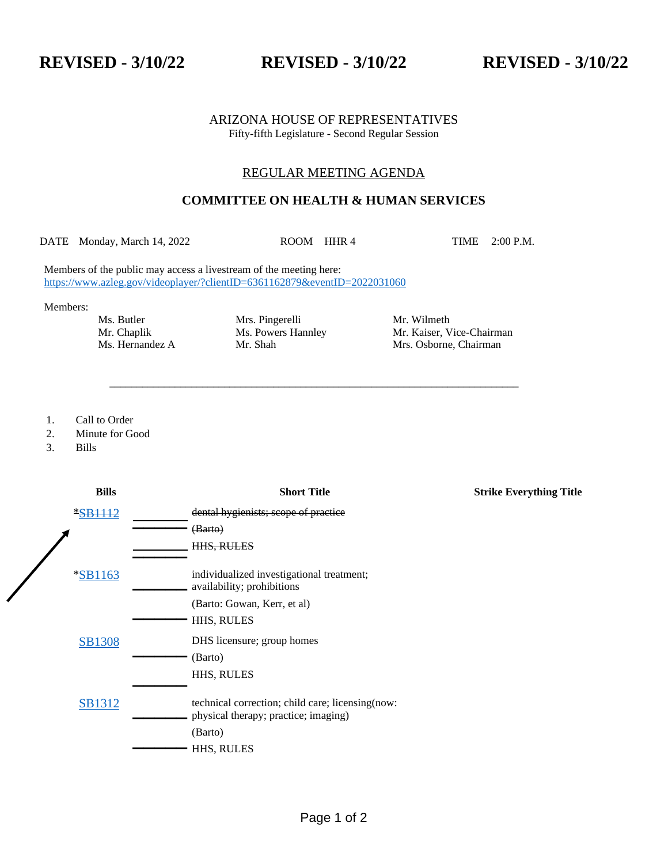**REVISED - 3/10/22 REVISED - 3/10/22 REVISED - 3/10/22**

### ARIZONA HOUSE OF REPRESENTATIVES Fifty-fifth Legislature - Second Regular Session

# REGULAR MEETING AGENDA

# **COMMITTEE ON HEALTH & HUMAN SERVICES**

DATE Monday, March 14, 2022 ROOM HHR 4 TIME 2:00 P.M.

\_\_\_\_\_\_\_\_\_\_\_\_\_\_\_\_\_\_\_\_\_\_\_\_\_\_\_\_\_\_\_\_\_\_\_\_\_\_\_\_\_\_\_\_\_\_\_\_\_\_\_\_\_\_\_\_\_\_\_\_\_\_\_\_\_\_\_\_\_\_\_\_\_\_\_

Members of the public may access a livestream of the meeting here: <https://www.azleg.gov/videoplayer/?clientID=6361162879&eventID=2022031060>

Members:

Ms. Butler Mrs. Pingerelli Mrs. Mr. Wilmeth

Mr. Chaplik Ms. Powers Hannley Mr. Kaiser, Vice-Chairman Ms. Hernandez A Mr. Shah Mrs. Osborne, Chairman

1. Call to Order

2. Minute for Good

3. Bills

| <b>Bills</b>   | <b>Short Title</b>                                                                       | <b>Strike Everything Title</b> |
|----------------|------------------------------------------------------------------------------------------|--------------------------------|
| <b>*SB1112</b> | dental hygienists; scope of practice                                                     |                                |
|                | (Barto)                                                                                  |                                |
|                | <b>HHS, RULES</b>                                                                        |                                |
| $*SB1163$      | individualized investigational treatment;<br>availability; prohibitions                  |                                |
|                | (Barto: Gowan, Kerr, et al)                                                              |                                |
|                | HHS, RULES                                                                               |                                |
| <b>SB1308</b>  | DHS licensure; group homes                                                               |                                |
|                | (Barto)                                                                                  |                                |
|                | HHS, RULES                                                                               |                                |
|                |                                                                                          |                                |
| <b>SB1312</b>  | technical correction; child care; licensing(now:<br>physical therapy; practice; imaging) |                                |
|                | (Barto)                                                                                  |                                |
|                | <b>HHS, RULES</b>                                                                        |                                |